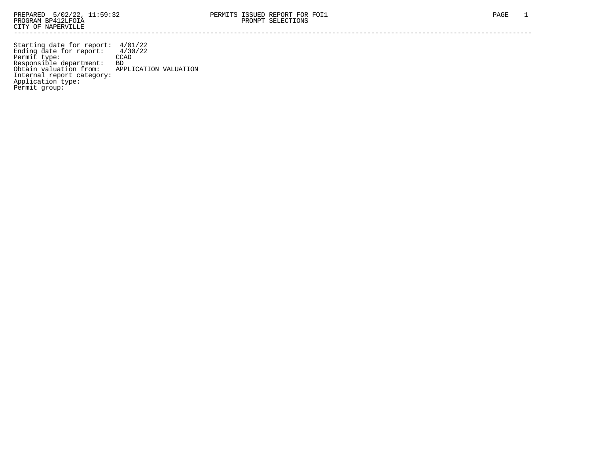Starting date for report: 4/01/22 Ending date for report: 4/30/22 Permit type: CCAD Responsible department: BD Obtain valuation from: APPLICATION VALUATION Internal report category: Application type: Permit group: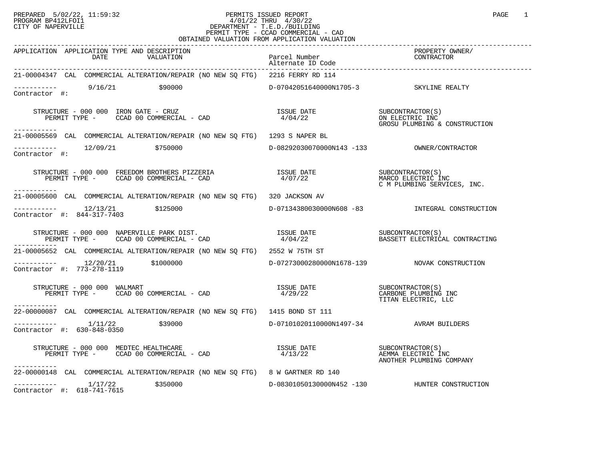## PREPARED 5/02/22, 11:59:32 PERMITS ISSUED REPORT PROGRAM BP412LFOI1 PAGE 1 PROGRAM BP412LFOI1 4/01/22 THRU 4/30/22 CITY OF NAPERVILLE **Example 20** CITY OF NAPERVILLE PERMIT TYPE - CCAD COMMERCIAL - CAD OBTAINED VALUATION FROM APPLICATION VALUATION

| APPLICATION APPLICATION TYPE AND DESCRIPTION<br>DATE<br>VALUATION                                                                                                                                                                                                                                                                                                             | Parcel Number<br>Alternate ID Code      | ----------<br>PROPERTY OWNER/<br>CONTRACTOR                                            |
|-------------------------------------------------------------------------------------------------------------------------------------------------------------------------------------------------------------------------------------------------------------------------------------------------------------------------------------------------------------------------------|-----------------------------------------|----------------------------------------------------------------------------------------|
| 21-00004347 CAL COMMERCIAL ALTERATION/REPAIR (NO NEW SQ FTG) 2216 FERRY RD 114                                                                                                                                                                                                                                                                                                |                                         |                                                                                        |
| $---------$ 9/16/21 \$90000<br>Contractor #:                                                                                                                                                                                                                                                                                                                                  | D-07042051640000N1705-3 SKYLINE REALTY  |                                                                                        |
| $\begin{array}{cccc} \texttt{STRUCTURE} & - & 000 & 000 & \texttt{IRON} \texttt{GATE} & - & \texttt{CRUZ} & \texttt{ISSUE} \texttt{DATE} & \texttt{SUBCONTRACTOR(S)} \\ \texttt{PERMIT TYPE} & - & \texttt{CCAD} & 00 & \texttt{COMMERCIAL} & - & \texttt{CAD} & 4/04/22 & \texttt{OR} & \texttt{CROSU} \texttt{PLUMBING} & \texttt{CONSTRUCTION} \end{array}$<br>----------- |                                         |                                                                                        |
| 21-00005569 CAL COMMERCIAL ALTERATION/REPAIR (NO NEW SO FTG) 1293 S NAPER BL                                                                                                                                                                                                                                                                                                  |                                         |                                                                                        |
| $\begin{array}{ccc}\n 2/09/21 & 2750000 \\  2 & 2750000\n \end{array}$                                                                                                                                                                                                                                                                                                        |                                         |                                                                                        |
| ------------                                                                                                                                                                                                                                                                                                                                                                  |                                         | SUBCONTRACTOR(S)<br>MARCO FLECTIC<br>MARCO ELECTRIC INC<br>C M PLUMBING SERVICES, INC. |
| 21-00005600 CAL COMMERCIAL ALTERATION/REPAIR (NO NEW SQ FTG) 320 JACKSON AV                                                                                                                                                                                                                                                                                                   |                                         |                                                                                        |
|                                                                                                                                                                                                                                                                                                                                                                               |                                         | D-07134380030000N608 -83 INTEGRAL CONSTRUCTION                                         |
| STRUCTURE – 000 000 NAPERVILLE PARK DIST.<br>PERMIT TYPE – CCAD 00 COMMERCIAL – CAD                   4/04/22           BASSETT ELECTRICAL CONTRACT                                                                                                                                                                                                                           |                                         | BASSETT ELECTRICAL CONTRACTING                                                         |
| 21-00005652 CAL COMMERCIAL ALTERATION/REPAIR (NO NEW SQ FTG) 2552 W 75TH ST                                                                                                                                                                                                                                                                                                   |                                         |                                                                                        |
| $\begin{tabular}{ll} \texttt{-----} \texttt{-----} & 12/20/21 & $1000000 \\ \texttt{Contractor} & \texttt{#:} & 773-278-1119 \\ \end{tabular}$                                                                                                                                                                                                                                |                                         | D-07273000280000N1678-139 NOVAK CONSTRUCTION                                           |
| STRUCTURE – 000 000 WALMART<br>PERMIT TYPE – CCAD 00 COMMERCIAL – CAD                                   4/29/22                         CARBONE PLUMBING INC<br>STRUCTURE - 000 000 WALMART<br>-----------                                                                                                                                                                    |                                         | TITAN ELECTRIC, LLC                                                                    |
| 22-00000087 CAL COMMERCIAL ALTERATION/REPAIR (NO NEW SQ FTG) 1415 BOND ST 111                                                                                                                                                                                                                                                                                                 |                                         |                                                                                        |
| $------- 1/11/22$ \$39000<br>Contractor #: 630-848-0350                                                                                                                                                                                                                                                                                                                       | D-07101020110000N1497-34 AVRAM BUILDERS |                                                                                        |
|                                                                                                                                                                                                                                                                                                                                                                               |                                         | ANOTHER PLUMBING COMPANY                                                               |
| 22-00000148 CAL COMMERCIAL ALTERATION/REPAIR (NO NEW SQ FTG) 8 W GARTNER RD 140                                                                                                                                                                                                                                                                                               |                                         |                                                                                        |
| $---------$ 1/17/22 \$350000<br>Contractor #: 618-741-7615                                                                                                                                                                                                                                                                                                                    |                                         | D-08301050130000N452 -130 HUNTER CONSTRUCTION                                          |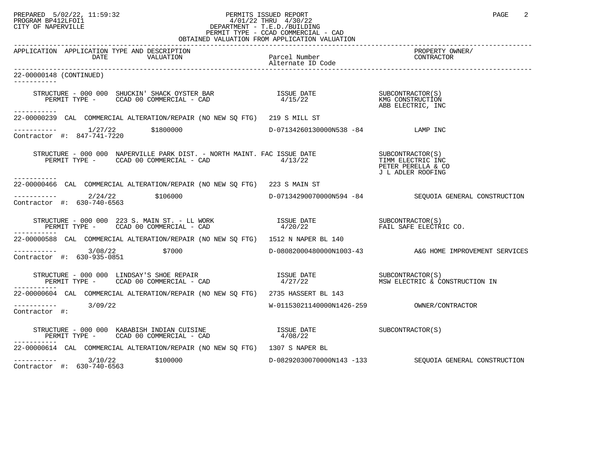## PREPARED 5/02/22, 11:59:32 PERMITS ISSUED REPORT<br>PROGRAM BP412LFOI1 PAGE 2 PROGRAM BP412LFOI1 4/01/22 THRU 4/30/22 CITY OF NAPERVILLE **Example 20** CITY OF NAPERVILLE PERMIT TYPE - CCAD COMMERCIAL - CAD OBTAINED VALUATION FROM APPLICATION VALUATION

| APPLICATION APPLICATION TYPE AND DESCRIPTION<br>DATE<br>VALUATION                                                                                                                                                              | Parcel Number<br>Alternate ID Code  | PROPERTY OWNER/<br>CONTRACTOR                          |
|--------------------------------------------------------------------------------------------------------------------------------------------------------------------------------------------------------------------------------|-------------------------------------|--------------------------------------------------------|
| 22-00000148 (CONTINUED)                                                                                                                                                                                                        |                                     |                                                        |
|                                                                                                                                                                                                                                |                                     | ABB ELECTRIC, INC                                      |
| -----------<br>22-00000239 CAL COMMERCIAL ALTERATION/REPAIR (NO NEW SQ FTG) 219 S MILL ST                                                                                                                                      |                                     |                                                        |
| $---------$ 1/27/22 \$1800000<br>Contractor #: 847-741-7220                                                                                                                                                                    | $D-07134260130000N538 -84$ LAMP INC |                                                        |
|                                                                                                                                                                                                                                |                                     | PETER PERELLA & CO<br>J L ADLER ROOFING                |
| -----------<br>22-00000466 CAL COMMERCIAL ALTERATION/REPAIR (NO NEW SO FTG) 223 S MAIN ST                                                                                                                                      |                                     |                                                        |
| $---------2/24/22$ \$106000<br>Contractor #: 630-740-6563                                                                                                                                                                      |                                     | D-07134290070000N594 -84 SEOUOIA GENERAL CONSTRUCTION  |
| ------------                                                                                                                                                                                                                   |                                     |                                                        |
| 22-00000588 CAL COMMERCIAL ALTERATION/REPAIR (NO NEW SQ FTG) 1512 N NAPER BL 140                                                                                                                                               |                                     |                                                        |
| $---------2$ 3/08/22<br>\$7000<br>Contractor #: 630-935-0851                                                                                                                                                                   |                                     | D-08082000480000N1003-43 A&G HOME IMPROVEMENT SERVICES |
| $\begin{array}{ccccccccc} \texttt{STRUCTURE} & - & 000 & 000 & \texttt{LINDSAY'S SHOE REPAR} & & & & & & & \\ \texttt{PERMIT TYPE} & - & \texttt{CCAD} & 00 & \texttt{COMMERCIAL} & - & \texttt{CAD} & & & & & \\ \end{array}$ |                                     |                                                        |
| 22-00000604 CAL COMMERCIAL ALTERATION/REPAIR (NO NEW SO FTG) 2735 HASSERT BL 143                                                                                                                                               |                                     |                                                        |
| $--------$ 3/09/22<br>Contractor #:                                                                                                                                                                                            |                                     |                                                        |
|                                                                                                                                                                                                                                |                                     |                                                        |
| -----------<br>22-00000614 CAL COMMERCIAL ALTERATION/REPAIR (NO NEW SO FTG) 1307 S NAPER BL                                                                                                                                    |                                     |                                                        |
| $---------$ 3/10/22 \$100000<br>Contractor #: 630-740-6563                                                                                                                                                                     |                                     | D-08292030070000N143 -133 SEQUOIA GENERAL CONSTRUCTION |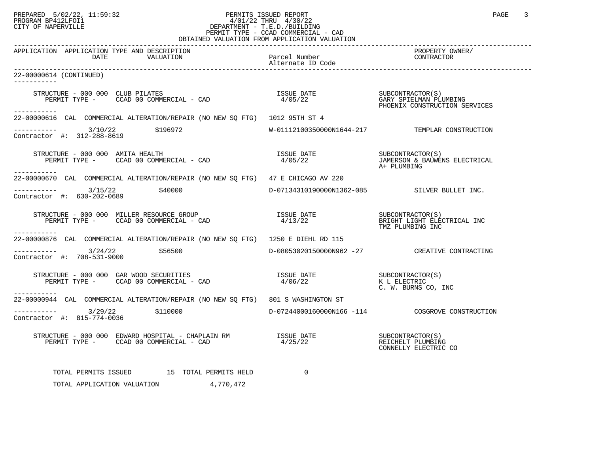## PREPARED 5/02/22, 11:59:32 PERMITS ISSUED REPORT<br>PROGRAM BP412LFOI1 PAGE 3 PROGRAM BP412LFOI1 4/01/22 THRU 4/30/22 CITY OF NAPERVILLE **Example 20** CITY OF NAPERVILLE PERMIT TYPE - CCAD COMMERCIAL - CAD

| OBTAINED VALUATION FROM APPLICATION VALUATION                                                                                                                                                                                                                                                                                                                                                                                                           |             |                                                 |  |  |
|---------------------------------------------------------------------------------------------------------------------------------------------------------------------------------------------------------------------------------------------------------------------------------------------------------------------------------------------------------------------------------------------------------------------------------------------------------|-------------|-------------------------------------------------|--|--|
| APPLICATION APPLICATION TYPE AND DESCRIPTION<br>The set of the Marcel Number<br>VALUATION Parcel Number<br>Alternate ID Code<br>DATE                                                                                                                                                                                                                                                                                                                    |             | PROPERTY OWNER/<br>CONTRACTOR                   |  |  |
| 22-00000614 (CONTINUED)<br>___________                                                                                                                                                                                                                                                                                                                                                                                                                  |             |                                                 |  |  |
| STRUCTURE – 000 000 CLUB PILATES<br>PERMIT TYPE – CCAD 00 COMMERCIAL – CAD 1999 (2012) 22 SUBCONTRACTOR(S)<br>------------                                                                                                                                                                                                                                                                                                                              |             | PHOENIX CONSTRUCTION SERVICES                   |  |  |
| 22-00000616 CAL COMMERCIAL ALTERATION/REPAIR (NO NEW SO FTG) 1012 95TH ST 4                                                                                                                                                                                                                                                                                                                                                                             |             |                                                 |  |  |
| $------ 3/10/22$ \$196972<br>Contractor #: 312-288-8619                                                                                                                                                                                                                                                                                                                                                                                                 |             | W-01112100350000N1644-217 TEMPLAR CONSTRUCTION  |  |  |
| $\begin{tabular}{lllllll} \multicolumn{2}{c}{\textbf{STRUCTURE}} & - & 000 & 000 & AMITA HEALITH \\ \multicolumn{2}{c}{\textbf{PERMIT TYPE}} & - & \multicolumn{2}{c}{\textbf{CCAD}} & 00 & \multicolumn{2}{c}{\textbf{COMMERCIAL}} & - & \multicolumn{2}{c}{\textbf{CAD}} \end{tabular}$<br>-----------                                                                                                                                                |             | A+ PLUMBING                                     |  |  |
| 22-00000670 CAL COMMERCIAL ALTERATION/REPAIR (NO NEW SO FTG) 47 E CHICAGO AV 220                                                                                                                                                                                                                                                                                                                                                                        |             |                                                 |  |  |
| $---------$ 3/15/22 \$40000<br>Contractor #: 630-202-0689                                                                                                                                                                                                                                                                                                                                                                                               |             | D-07134310190000N1362-085 SILVER BULLET INC.    |  |  |
|                                                                                                                                                                                                                                                                                                                                                                                                                                                         |             | TMZ PLUMBING INC                                |  |  |
| ------------<br>22-00000876 CAL COMMERCIAL ALTERATION/REPAIR (NO NEW SO FTG) 1250 E DIEHL RD 115                                                                                                                                                                                                                                                                                                                                                        |             |                                                 |  |  |
| $---------$ 3/24/22 \$56500<br>Contractor #: 708-531-9000                                                                                                                                                                                                                                                                                                                                                                                               |             | D-08053020150000N962 -27 CREATIVE CONTRACTING   |  |  |
| STRUCTURE - 000 000 GAR WOOD SECURITIES<br>PERMIT TYPE - CCAD 00 COMMERCIAL - CAD<br>-----------                                                                                                                                                                                                                                                                                                                                                        |             | C. W. BURNS CO, INC                             |  |  |
| 22-00000944 CAL COMMERCIAL ALTERATION/REPAIR (NO NEW SO FTG) 801 S WASHINGTON ST                                                                                                                                                                                                                                                                                                                                                                        |             |                                                 |  |  |
| $---------$ 3/29/22 \$110000<br>Contractor #: 815-774-0036                                                                                                                                                                                                                                                                                                                                                                                              |             | D-07244000160000N166 -114 COSGROVE CONSTRUCTION |  |  |
| $\begin{tabular}{lllllllllllllllllll} \textsc{STRUCTURE} & - & 000 & 000 & \textsc{EDWARD HOSPITAL} & - & \textsc{CHAPLAIN} \textsc{RM} & & & & & & \textsc{ISSUE} \textsc{DATE} & & & & & \textsc{SUBCONTRACTOR(S)} \\ \textsc{PERMIT TYPE} & - & \textsc{CCAD} & 00 & \textsc{COMMERCIAL} & - & \textsc{CAD} & & & & & \textsc{4/25/22} & & & & \textsc{REICHELT} \textsc{ELUMBING} & & & & & \textsc{CDINRELLY} \textsc{ELECTRIC} & & & & & \textsc$ |             | REICHELT PLUMBING<br>CONNELLY ELECTRIC CO       |  |  |
| TOTAL PERMITS ISSUED 15 TOTAL PERMITS HELD<br>TOTAL APPLICATION VALUATION<br>4,770,472                                                                                                                                                                                                                                                                                                                                                                  | $\mathbf 0$ |                                                 |  |  |
|                                                                                                                                                                                                                                                                                                                                                                                                                                                         |             |                                                 |  |  |